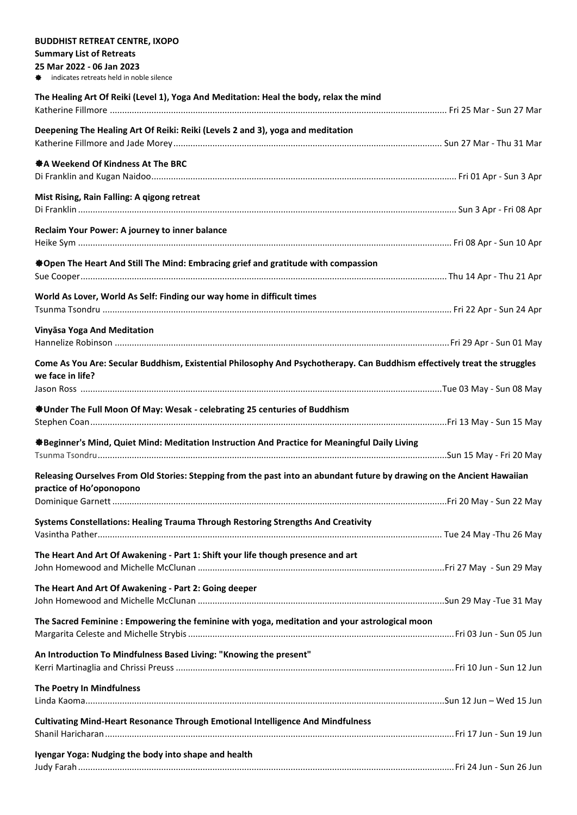| <b>BUDDHIST RETREAT CENTRE, IXOPO</b>                                                                                                         |  |
|-----------------------------------------------------------------------------------------------------------------------------------------------|--|
| <b>Summary List of Retreats</b>                                                                                                               |  |
| 25 Mar 2022 - 06 Jan 2023                                                                                                                     |  |
| indicates retreats held in noble silence                                                                                                      |  |
| The Healing Art Of Reiki (Level 1), Yoga And Meditation: Heal the body, relax the mind                                                        |  |
|                                                                                                                                               |  |
|                                                                                                                                               |  |
| Deepening The Healing Art Of Reiki: Reiki (Levels 2 and 3), yoga and meditation                                                               |  |
|                                                                                                                                               |  |
| ※ A Weekend Of Kindness At The BRC                                                                                                            |  |
|                                                                                                                                               |  |
|                                                                                                                                               |  |
| Mist Rising, Rain Falling: A qigong retreat                                                                                                   |  |
|                                                                                                                                               |  |
| Reclaim Your Power: A journey to inner balance                                                                                                |  |
|                                                                                                                                               |  |
|                                                                                                                                               |  |
| ※ Open The Heart And Still The Mind: Embracing grief and gratitude with compassion                                                            |  |
|                                                                                                                                               |  |
| World As Lover, World As Self: Finding our way home in difficult times                                                                        |  |
|                                                                                                                                               |  |
|                                                                                                                                               |  |
| Vinyāsa Yoga And Meditation                                                                                                                   |  |
|                                                                                                                                               |  |
|                                                                                                                                               |  |
| Come As You Are: Secular Buddhism, Existential Philosophy And Psychotherapy. Can Buddhism effectively treat the struggles<br>we face in life? |  |
|                                                                                                                                               |  |
|                                                                                                                                               |  |
| ※ Under The Full Moon Of May: Wesak - celebrating 25 centuries of Buddhism                                                                    |  |
|                                                                                                                                               |  |
|                                                                                                                                               |  |
| ※Beginner's Mind, Quiet Mind: Meditation Instruction And Practice for Meaningful Daily Living                                                 |  |
|                                                                                                                                               |  |
| Releasing Ourselves From Old Stories: Stepping from the past into an abundant future by drawing on the Ancient Hawaiian                       |  |
| practice of Ho'oponopono                                                                                                                      |  |
|                                                                                                                                               |  |
|                                                                                                                                               |  |
| Systems Constellations: Healing Trauma Through Restoring Strengths And Creativity                                                             |  |
|                                                                                                                                               |  |
| The Heart And Art Of Awakening - Part 1: Shift your life though presence and art                                                              |  |
|                                                                                                                                               |  |
|                                                                                                                                               |  |
| The Heart And Art Of Awakening - Part 2: Going deeper                                                                                         |  |
|                                                                                                                                               |  |
| The Sacred Feminine : Empowering the feminine with yoga, meditation and your astrological moon                                                |  |
|                                                                                                                                               |  |
|                                                                                                                                               |  |
| An Introduction To Mindfulness Based Living: "Knowing the present"                                                                            |  |
|                                                                                                                                               |  |
| The Poetry In Mindfulness                                                                                                                     |  |
|                                                                                                                                               |  |
|                                                                                                                                               |  |
| <b>Cultivating Mind-Heart Resonance Through Emotional Intelligence And Mindfulness</b>                                                        |  |
|                                                                                                                                               |  |
|                                                                                                                                               |  |
| Iyengar Yoga: Nudging the body into shape and health                                                                                          |  |
|                                                                                                                                               |  |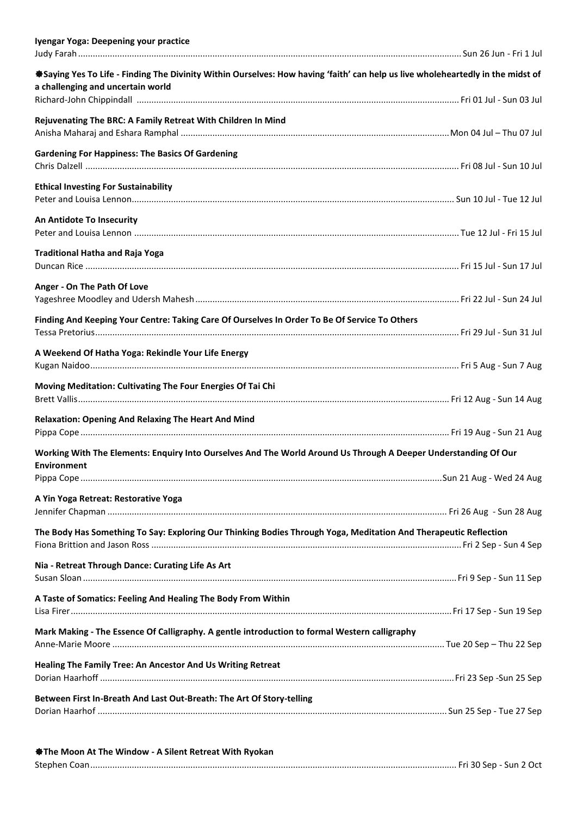| Iyengar Yoga: Deepening your practice                                                                                           |  |
|---------------------------------------------------------------------------------------------------------------------------------|--|
| *Saying Yes To Life - Finding The Divinity Within Ourselves: How having 'faith' can help us live wholeheartedly in the midst of |  |
| a challenging and uncertain world                                                                                               |  |
| Rejuvenating The BRC: A Family Retreat With Children In Mind                                                                    |  |
| <b>Gardening For Happiness: The Basics Of Gardening</b>                                                                         |  |
| <b>Ethical Investing For Sustainability</b>                                                                                     |  |
| An Antidote To Insecurity                                                                                                       |  |
| <b>Traditional Hatha and Raja Yoga</b>                                                                                          |  |
| Anger - On The Path Of Love                                                                                                     |  |
| Finding And Keeping Your Centre: Taking Care Of Ourselves In Order To Be Of Service To Others                                   |  |
| A Weekend Of Hatha Yoga: Rekindle Your Life Energy                                                                              |  |
| Moving Meditation: Cultivating The Four Energies Of Tai Chi                                                                     |  |
| <b>Relaxation: Opening And Relaxing The Heart And Mind</b>                                                                      |  |
| Working With The Elements: Enquiry Into Ourselves And The World Around Us Through A Deeper Understanding Of Our                 |  |
| Environment                                                                                                                     |  |
| A Yin Yoga Retreat: Restorative Yoga                                                                                            |  |
| The Body Has Something To Say: Exploring Our Thinking Bodies Through Yoga, Meditation And Therapeutic Reflection                |  |
| Nia - Retreat Through Dance: Curating Life As Art                                                                               |  |
| A Taste of Somatics: Feeling And Healing The Body From Within                                                                   |  |
| Mark Making - The Essence Of Calligraphy. A gentle introduction to formal Western calligraphy                                   |  |
| Healing The Family Tree: An Ancestor And Us Writing Retreat                                                                     |  |
| Between First In-Breath And Last Out-Breath: The Art Of Story-telling                                                           |  |

| <b>State Moon At The Window - A Silent Retreat With Ryokan</b> |  |
|----------------------------------------------------------------|--|
|                                                                |  |